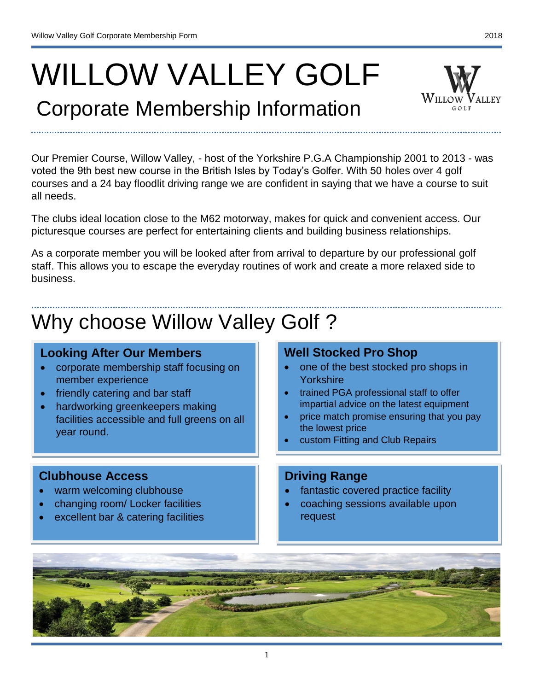# WILLOW VALLEY GOLF

### Corporate Membership Information

Our Premier Course, Willow Valley, - host of the Yorkshire P.G.A Championship 2001 to 2013 - was voted the 9th best new course in the British Isles by Today's Golfer. With 50 holes over 4 golf courses and a 24 bay floodlit driving range we are confident in saying that we have a course to suit all needs.

The clubs ideal location close to the M62 motorway, makes for quick and convenient access. Our picturesque courses are perfect for entertaining clients and building business relationships.

As a corporate member you will be looked after from arrival to departure by our professional golf staff. This allows you to escape the everyday routines of work and create a more relaxed side to business.

## Why choose Willow Valley Golf ?

#### **Looking After Our Members**

- corporate membership staff focusing on member experience
- friendly catering and bar staff
- hardworking greenkeepers making facilities accessible and full greens on all year round.

#### **Clubhouse Access**

I

- warm welcoming clubhouse
- changing room/ Locker facilities
- excellent bar & catering facilities

### **Well Stocked Pro Shop**

- one of the best stocked pro shops in Yorkshire
- trained PGA professional staff to offer impartial advice on the latest equipment
- price match promise ensuring that you pay the lowest price
- custom Fitting and Club Repairs

#### **Driving Range**

- fantastic covered practice facility
- coaching sessions available upon request